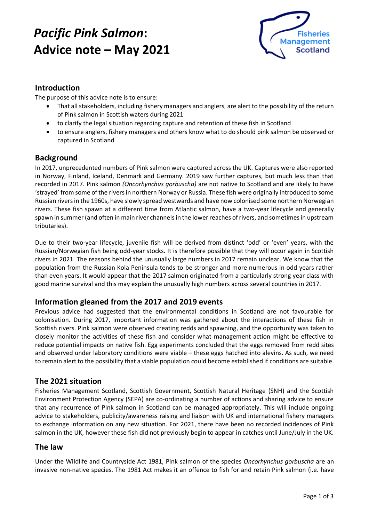# *Pacific Pink Salmon***: Advice note – May 2021**



### **Introduction**

The purpose of this advice note is to ensure:

- That all stakeholders, including fishery managers and anglers, are alert to the possibility of the return of Pink salmon in Scottish waters during 2021
- to clarify the legal situation regarding capture and retention of these fish in Scotland
- to ensure anglers, fishery managers and others know what to do should pink salmon be observed or captured in Scotland

#### **Background**

In 2017, unprecedented numbers of Pink salmon were captured across the UK. Captures were also reported in Norway, Finland, Iceland, Denmark and Germany. 2019 saw further captures, but much less than that recorded in 2017. Pink salmon *(Oncorhynchus gorbuscha)* are not native to Scotland and are likely to have 'strayed' from some of the rivers in northern Norway or Russia. These fish were originally introduced to some Russian rivers in the 1960s, have slowly spread westwards and have now colonised some northern Norwegian rivers. These fish spawn at a different time from Atlantic salmon, have a two-year lifecycle and generally spawn in summer (and often in main river channels in the lower reaches of rivers, and sometimes in upstream tributaries).

Due to their two-year lifecycle, juvenile fish will be derived from distinct 'odd' or 'even' years, with the Russian/Norwegian fish being odd-year stocks. It is therefore possible that they will occur again in Scottish rivers in 2021. The reasons behind the unusually large numbers in 2017 remain unclear. We know that the population from the Russian Kola Peninsula tends to be stronger and more numerous in odd years rather than even years. It would appear that the 2017 salmon originated from a particularly strong year class with good marine survival and this may explain the unusually high numbers across several countries in 2017.

#### **Information gleaned from the 2017 and 2019 events**

Previous advice had suggested that the environmental conditions in Scotland are not favourable for colonisation. During 2017, important information was gathered about the interactions of these fish in Scottish rivers. Pink salmon were observed creating redds and spawning, and the opportunity was taken to closely monitor the activities of these fish and consider what management action might be effective to reduce potential impacts on native fish. Egg experiments concluded that the eggs removed from redd sites and observed under laboratory conditions were viable – these eggs hatched into alevins. As such, we need to remain alert to the possibility that a viable population could become established if conditions are suitable.

#### **The 2021 situation**

Fisheries Management Scotland, Scottish Government, Scottish Natural Heritage (SNH) and the Scottish Environment Protection Agency (SEPA) are co-ordinating a number of actions and sharing advice to ensure that any recurrence of Pink salmon in Scotland can be managed appropriately. This will include ongoing advice to stakeholders, publicity/awareness raising and liaison with UK and international fishery managers to exchange information on any new situation. For 2021, there have been no recorded incidences of Pink salmon in the UK, however these fish did not previously begin to appear in catches until June/July in the UK.

#### **The law**

Under the Wildlife and Countryside Act 1981, Pink salmon of the species *Oncorhynchus gorbuscha* are an invasive non-native species. The 1981 Act makes it an offence to fish for and retain Pink salmon (i.e. have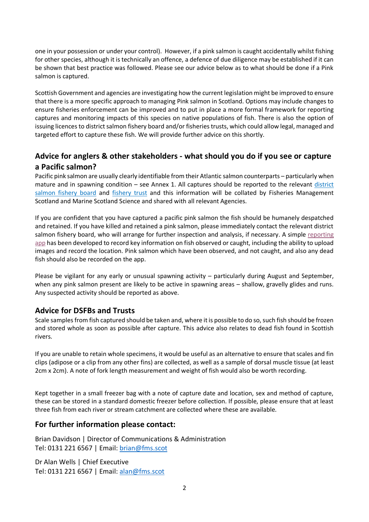one in your possession or under your control). However, if a pink salmon is caught accidentally whilst fishing for other species, although it is technically an offence, a defence of due diligence may be established if it can be shown that best practice was followed. Please see our advice below as to what should be done if a Pink salmon is captured.

Scottish Government and agencies are investigating how the current legislation might be improved to ensure that there is a more specific approach to managing Pink salmon in Scotland. Options may include changes to ensure fisheries enforcement can be improved and to put in place a more formal framework for reporting captures and monitoring impacts of this species on native populations of fish. There is also the option of issuing licences to district salmon fishery board and/or fisheries trusts, which could allow legal, managed and targeted effort to capture these fish. We will provide further advice on this shortly.

## **Advice for anglers & other stakeholders - what should you do if you see or capture a Pacific salmon?**

Pacific pink salmon are usually clearly identifiable from their Atlantic salmon counterparts – particularly when mature and in spawning condition – see Annex 1. All captures should be reported to the relevant [district](http://fms.scot/dsfb-contacts/)  [salmon fishery board](http://fms.scot/dsfb-contacts/) and [fishery trust](http://fms.scot/trust-contacts/) and this information will be collated by Fisheries Management Scotland and Marine Scotland Science and shared with all relevant Agencies.

If you are confident that you have captured a pacific pink salmon the fish should be humanely despatched and retained. If you have killed and retained a pink salmon, please immediately contact the relevant district salmon fishery board, who will arrange for further inspection and analysis, if necessary. A simple [reporting](https://arcg.is/0anj4a)  [app](https://arcg.is/0anj4a) has been developed to record key information on fish observed or caught, including the ability to upload images and record the location. Pink salmon which have been observed, and not caught, and also any dead fish should also be recorded on the app.

Please be vigilant for any early or unusual spawning activity – particularly during August and September, when any pink salmon present are likely to be active in spawning areas – shallow, gravelly glides and runs. Any suspected activity should be reported as above.

#### **Advice for DSFBs and Trusts**

Scale samplesfrom fish captured should be taken and, where it is possible to do so, such fish should be frozen and stored whole as soon as possible after capture. This advice also relates to dead fish found in Scottish rivers.

If you are unable to retain whole specimens, it would be useful as an alternative to ensure that scales and fin clips (adipose or a clip from any other fins) are collected, as well as a sample of dorsal muscle tissue (at least 2cm x 2cm). A note of fork length measurement and weight of fish would also be worth recording.

Kept together in a small freezer bag with a note of capture date and location, sex and method of capture, these can be stored in a standard domestic freezer before collection. If possible, please ensure that at least three fish from each river or stream catchment are collected where these are available.

#### **For further information please contact:**

Brian Davidson | Director of Communications & Administration Tel: 0131 221 6567 | Email: [brian@fms.scot](mailto:brian@fms.scot)

Dr Alan Wells | Chief Executive Tel: 0131 221 6567 | Email: [alan@fms.scot](mailto:alan@fms.scot)